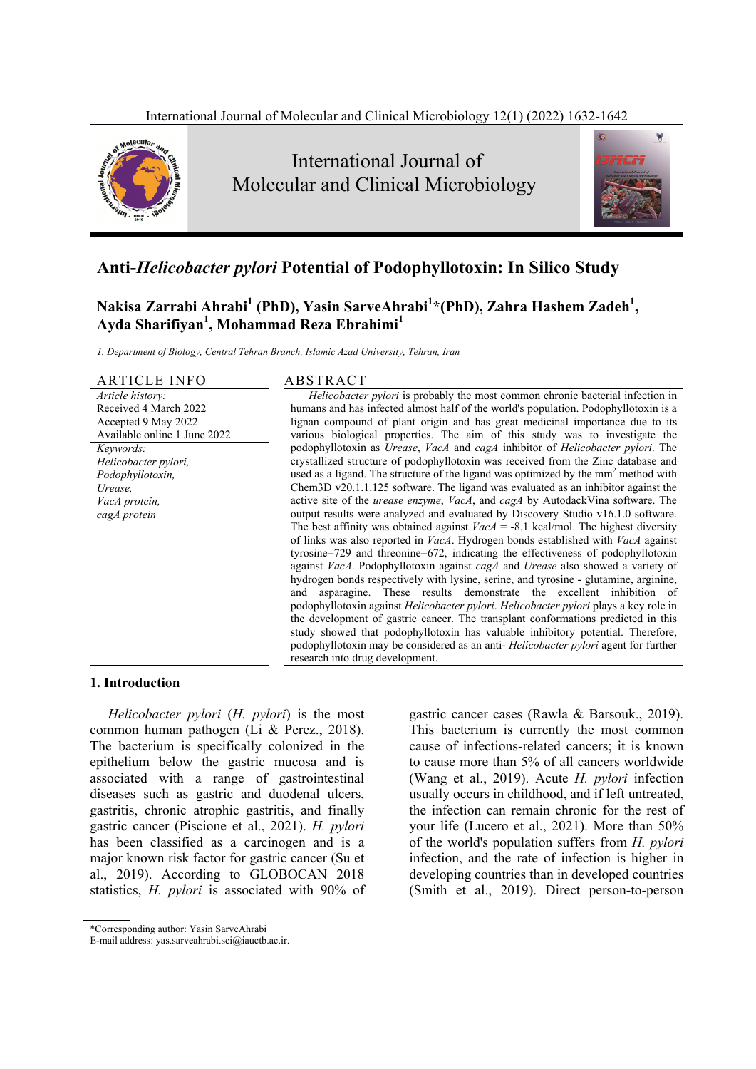

# **Anti-***Helicobacter pylori* **Potential of Podophyllotoxin: In Silico Study**

**Nakisa Zarrabi Ahrabi<sup>1</sup> (PhD), Yasin SarveAhrabi<sup>1</sup> \*(PhD), Zahra Hashem Zadeh<sup>1</sup> , Ayda Sharifiyan1 , Mohammad Reza Ebrahimi1**

*1. Department of Biology, Central Tehran Branch, Islamic Azad University, Tehran, Iran* 

# ARTICLE INFO ABSTRACT

*Article history:*  Received 4 March 2022 Accepted 9 May 2022 Available online 1 June 2022 *Keywords: Helicobacter pylori, Podophyllotoxin, Urease, VacA protein, cagA protein* 

*Helicobacter pylori* is probably the most common chronic bacterial infection in humans and has infected almost half of the world's population. Podophyllotoxin is a lignan compound of plant origin and has great medicinal importance due to its various biological properties. The aim of this study was to investigate the podophyllotoxin as *Urease*, *VacA* and *cagA* inhibitor of *Helicobacter pylori*. The crystallized structure of podophyllotoxin was received from the Zinc database and used as a ligand. The structure of the ligand was optimized by the mm<sup>2</sup> method with Chem3D v20.1.1.125 software. The ligand was evaluated as an inhibitor against the active site of the *urease enzyme*, *VacA*, and *cagA* by AutodackVina software. The output results were analyzed and evaluated by Discovery Studio v16.1.0 software. The best affinity was obtained against  $VacA = -8.1$  kcal/mol. The highest diversity of links was also reported in *VacA*. Hydrogen bonds established with *VacA* against tyrosine=729 and threonine=672, indicating the effectiveness of podophyllotoxin against *VacA*. Podophyllotoxin against *cagA* and *Urease* also showed a variety of hydrogen bonds respectively with lysine, serine, and tyrosine - glutamine, arginine, and asparagine. These results demonstrate the excellent inhibition of podophyllotoxin against *Helicobacter pylori*. *Helicobacter pylori* plays a key role in the development of gastric cancer. The transplant conformations predicted in this study showed that podophyllotoxin has valuable inhibitory potential. Therefore, podophyllotoxin may be considered as an anti- *Helicobacter pylori* agent for further research into drug development.

#### **1. Introduction**

*Helicobacter pylori* (*H. pylori*) is the most common human pathogen (Li & Perez., 2018). The bacterium is specifically colonized in the epithelium below the gastric mucosa and is associated with a range of gastrointestinal diseases such as gastric and duodenal ulcers, gastritis, chronic atrophic gastritis, and finally gastric cancer (Piscione et al., 2021). *H. pylori* has been classified as a carcinogen and is a major known risk factor for gastric cancer (Su et al., 2019). According to GLOBOCAN 2018 statistics, *H. pylori* is associated with 90% of gastric cancer cases (Rawla & Barsouk., 2019). This bacterium is currently the most common cause of infections-related cancers; it is known to cause more than 5% of all cancers worldwide (Wang et al., 2019). Acute *H. pylori* infection usually occurs in childhood, and if left untreated, the infection can remain chronic for the rest of your life (Lucero et al., 2021). More than 50% of the world's population suffers from *H. pylori* infection, and the rate of infection is higher in developing countries than in developed countries (Smith et al., 2019). Direct person-to-person

<sup>\*</sup>Corresponding author: Yasin SarveAhrabi

E-mail address: yas.sarveahrabi.sci@iauctb.ac.ir.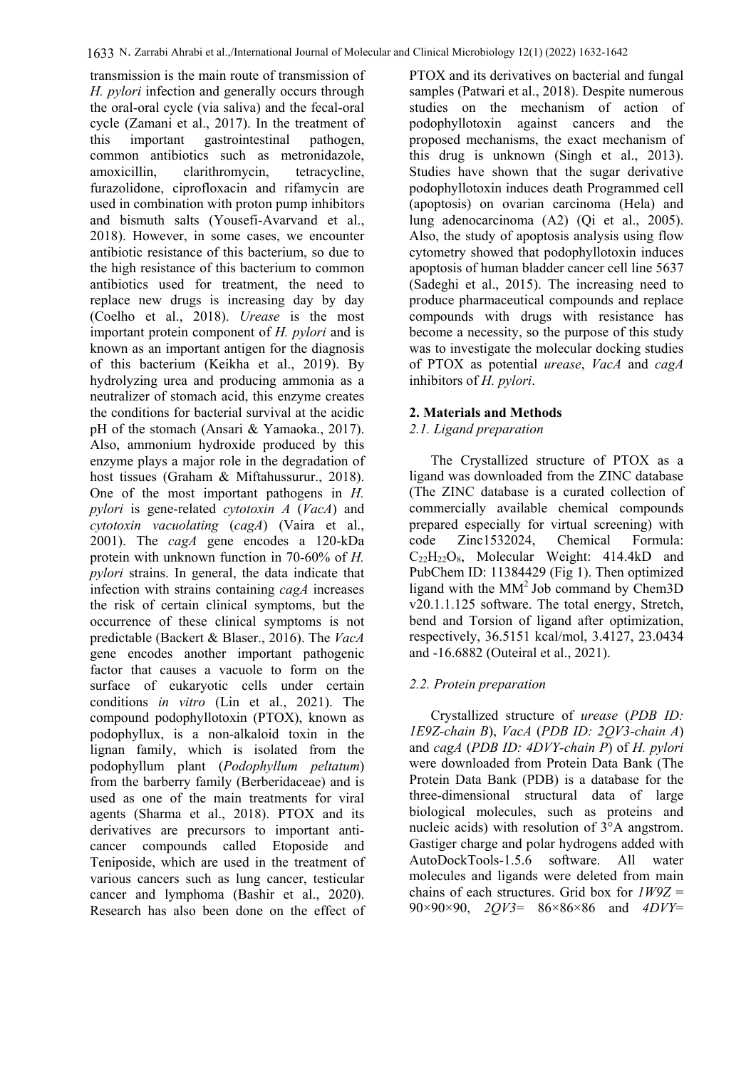transmission is the main route of transmission of *H. pylori* infection and generally occurs through the oral-oral cycle (via saliva) and the fecal-oral cycle (Zamani et al., 2017). In the treatment of this important gastrointestinal pathogen, common antibiotics such as metronidazole, amoxicillin, clarithromycin, tetracycline, furazolidone, ciprofloxacin and rifamycin are used in combination with proton pump inhibitors and bismuth salts (Yousefi-Avarvand et al., 2018). However, in some cases, we encounter antibiotic resistance of this bacterium, so due to the high resistance of this bacterium to common antibiotics used for treatment, the need to replace new drugs is increasing day by day (Coelho et al., 2018). *Urease* is the most important protein component of *H. pylori* and is known as an important antigen for the diagnosis of this bacterium (Keikha et al., 2019). By hydrolyzing urea and producing ammonia as a neutralizer of stomach acid, this enzyme creates the conditions for bacterial survival at the acidic pH of the stomach (Ansari & Yamaoka., 2017). Also, ammonium hydroxide produced by this enzyme plays a major role in the degradation of host tissues (Graham & Miftahussurur., 2018). One of the most important pathogens in *H. pylori* is gene-related *cytotoxin A* (*VacA*) and *cytotoxin vacuolating* (*cagA*) (Vaira et al., 2001). The *cagA* gene encodes a 120-kDa protein with unknown function in 70-60% of *H. pylori* strains. In general, the data indicate that infection with strains containing *cagA* increases the risk of certain clinical symptoms, but the occurrence of these clinical symptoms is not predictable (Backert & Blaser., 2016). The *VacA* gene encodes another important pathogenic factor that causes a vacuole to form on the surface of eukaryotic cells under certain conditions *in vitro* (Lin et al., 2021). The compound podophyllotoxin (PTOX), known as podophyllux, is a non-alkaloid toxin in the lignan family, which is isolated from the podophyllum plant (*Podophyllum peltatum*) from the barberry family (Berberidaceae) and is used as one of the main treatments for viral agents (Sharma et al., 2018). PTOX and its derivatives are precursors to important anticancer compounds called Etoposide and Teniposide, which are used in the treatment of various cancers such as lung cancer, testicular cancer and lymphoma (Bashir et al., 2020). Research has also been done on the effect of PTOX and its derivatives on bacterial and fungal samples (Patwari et al., 2018). Despite numerous studies on the mechanism of action of podophyllotoxin against cancers and the proposed mechanisms, the exact mechanism of this drug is unknown (Singh et al., 2013). Studies have shown that the sugar derivative podophyllotoxin induces death Programmed cell (apoptosis) on ovarian carcinoma (Hela) and lung adenocarcinoma (A2) (Qi et al., 2005). Also, the study of apoptosis analysis using flow cytometry showed that podophyllotoxin induces apoptosis of human bladder cancer cell line 5637 (Sadeghi et al., 2015). The increasing need to produce pharmaceutical compounds and replace compounds with drugs with resistance has become a necessity, so the purpose of this study was to investigate the molecular docking studies of PTOX as potential *urease*, *VacA* and *cagA* inhibitors of *H. pylori*.

# **2. Materials and Methods**

## *2.1. Ligand preparation*

 The Crystallized structure of PTOX as a ligand was downloaded from the ZINC database (The ZINC database is a curated collection of commercially available chemical compounds prepared especially for virtual screening) with code Zinc1532024, Chemical Formula:  $C_{22}H_{22}O_8$ , Molecular Weight: 414.4kD and PubChem ID: 11384429 (Fig 1). Then optimized ligand with the  $MM<sup>2</sup>$  Job command by Chem3D v20.1.1.125 software. The total energy, Stretch, bend and Torsion of ligand after optimization, respectively, 36.5151 kcal/mol, 3.4127, 23.0434 and -16.6882 (Outeiral et al., 2021).

## *2.2. Protein preparation*

 Crystallized structure of *urease* (*PDB ID: 1E9Z-chain B*), *VacA* (*PDB ID: 2QV3-chain A*) and *cagA* (*PDB ID: 4DVY-chain P*) of *H. pylori* were downloaded from Protein Data Bank (The Protein Data Bank (PDB) is a database for the three-dimensional structural data of large biological molecules, such as proteins and nucleic acids) with resolution of 3°A angstrom. Gastiger charge and polar hydrogens added with AutoDockTools-1.5.6 software. All water molecules and ligands were deleted from main chains of each structures. Grid box for *1W9Z* = 90×90×90, *2QV3*= 86×86×86 and *4DVY*=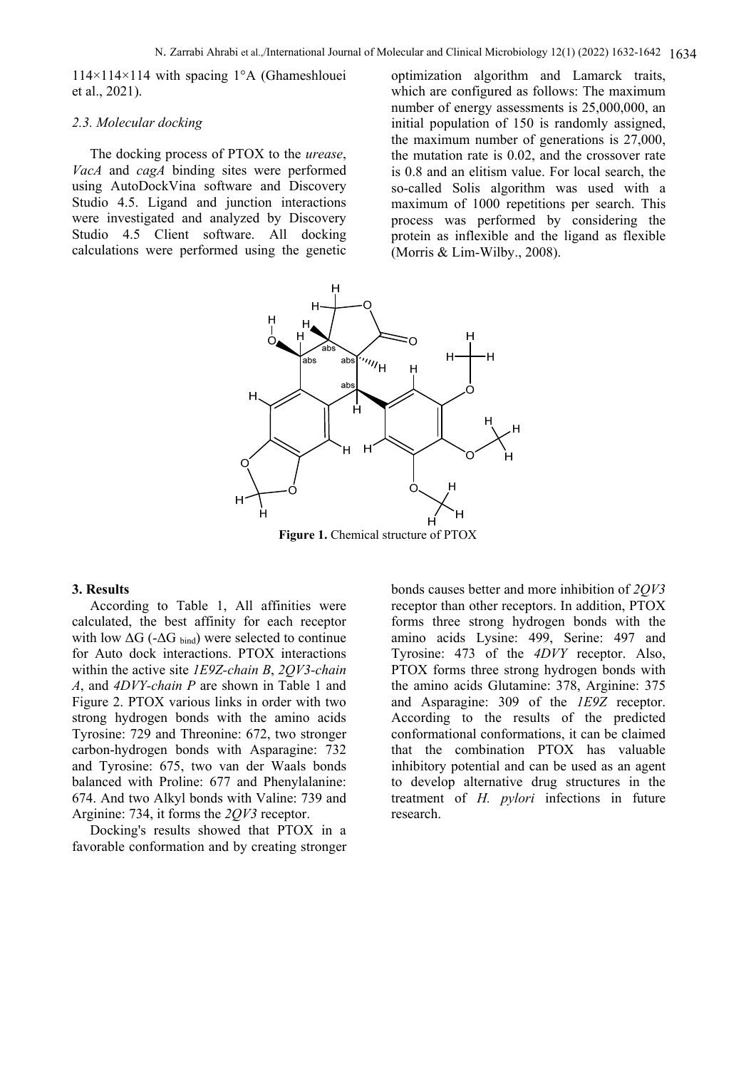114×114×114 with spacing 1°A (Ghameshlouei et al., 2021).

#### *2.3. Molecular docking*

The docking process of PTOX to the *urease*, *VacA* and *cagA* binding sites were performed using AutoDockVina software and Discovery Studio 4.5. Ligand and junction interactions were investigated and analyzed by Discovery Studio 4.5 Client software. All docking calculations were performed using the genetic

optimization algorithm and Lamarck traits, which are configured as follows: The maximum number of energy assessments is 25,000,000, an initial population of 150 is randomly assigned, the maximum number of generations is 27,000, the mutation rate is 0.02, and the crossover rate is 0.8 and an elitism value. For local search, the so-called Solis algorithm was used with a maximum of 1000 repetitions per search. This process was performed by considering the protein as inflexible and the ligand as flexible (Morris & Lim-Wilby., 2008).



Figure 1. Chemical structure of PTOX

#### **3. Results**

According to Table 1, All affinities were calculated, the best affinity for each receptor with low  $\Delta G$  (- $\Delta G$  bind) were selected to continue for Auto dock interactions. PTOX interactions within the active site *1E9Z-chain B*, *2QV3-chain A*, and *4DVY-chain P* are shown in Table 1 and Figure 2. PTOX various links in order with two strong hydrogen bonds with the amino acids Tyrosine: 729 and Threonine: 672, two stronger carbon-hydrogen bonds with Asparagine: 732 and Tyrosine: 675, two van der Waals bonds balanced with Proline: 677 and Phenylalanine: 674. And two Alkyl bonds with Valine: 739 and Arginine: 734, it forms the *2QV3* receptor.

Docking's results showed that PTOX in a favorable conformation and by creating stronger bonds causes better and more inhibition of *2QV3* receptor than other receptors. In addition, PTOX forms three strong hydrogen bonds with the amino acids Lysine: 499, Serine: 497 and Tyrosine: 473 of the *4DVY* receptor. Also, PTOX forms three strong hydrogen bonds with the amino acids Glutamine: 378, Arginine: 375 and Asparagine: 309 of the *1E9Z* receptor. According to the results of the predicted conformational conformations, it can be claimed that the combination PTOX has valuable inhibitory potential and can be used as an agent to develop alternative drug structures in the treatment of *H. pylori* infections in future research.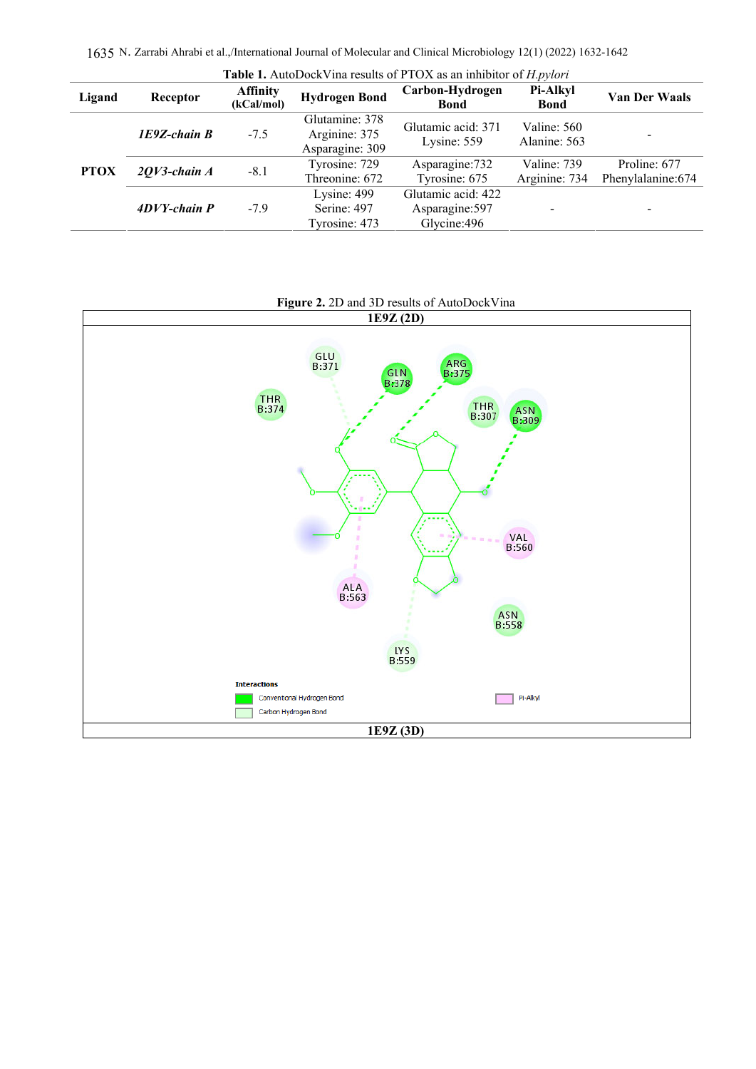1635 N. Zarrabi Ahrabi et al.,/International Journal of Molecular and Clinical Microbiology 12(1) (2022) 1632-1642

| Table 1. AutoDockVina results of PTOX as an inhibitor of <i>H.pylori</i> |                   |                               |                                                    |                                                       |                              |                                    |
|--------------------------------------------------------------------------|-------------------|-------------------------------|----------------------------------------------------|-------------------------------------------------------|------------------------------|------------------------------------|
| Ligand                                                                   | Receptor          | <b>Affinity</b><br>(kCal/mol) | <b>Hydrogen Bond</b>                               | Carbon-Hydrogen<br>Bond                               | Pi-Alkyl<br><b>Bond</b>      | <b>Van Der Waals</b>               |
| <b>PTOX</b>                                                              | $IE9Z$ -chain $B$ | $-7.5$                        | Glutamine: 378<br>Arginine: 375<br>Asparagine: 309 | Glutamic acid: 371<br>Lysine: 559                     | Valine: 560<br>Alanine: 563  |                                    |
|                                                                          | $2QV3$ -chain A   | $-8.1$                        | Tyrosine: 729<br>Threonine: 672                    | Asparagine: 732<br>Tyrosine: 675                      | Valine: 739<br>Arginine: 734 | Proline: 677<br>Phenylalanine: 674 |
|                                                                          | $4DVY$ -chain $P$ | $-7.9$                        | Lysine: 499<br>Serine: 497<br>Tyrosine: 473        | Glutamic acid: 422<br>Asparagine: 597<br>Glycine: 496 |                              | -                                  |

#### **Figure 2.** 2D and 3D results of AutoDockVina

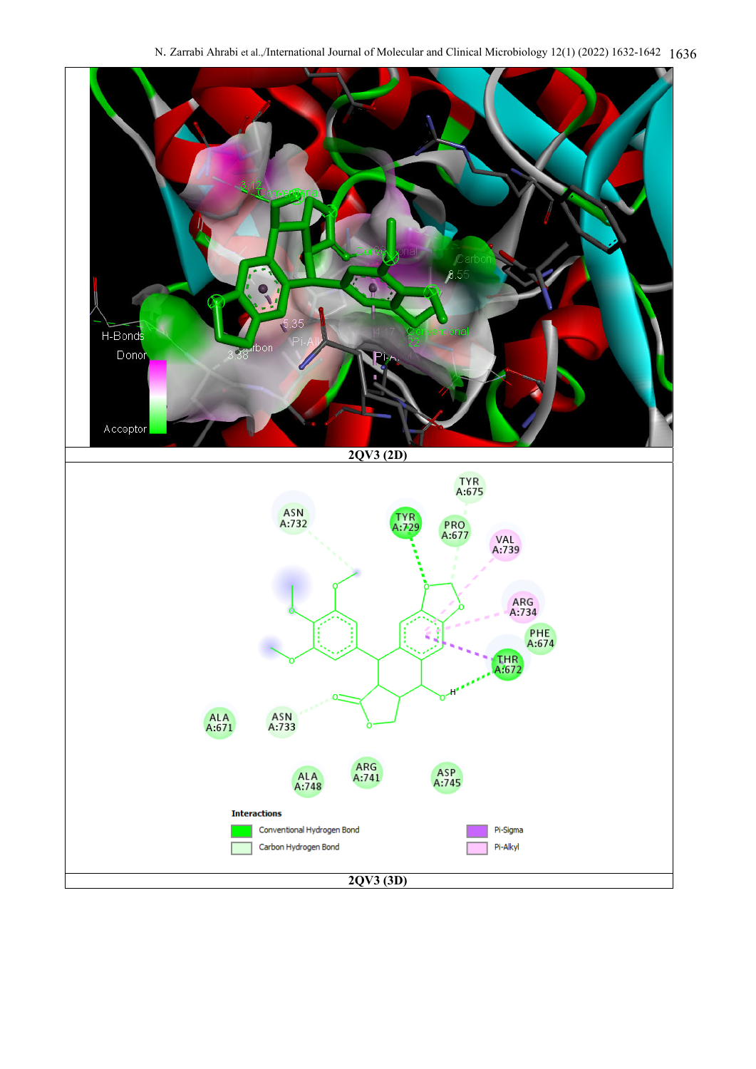N. Zarrabi Ahrabi et al.,/International Journal of Molecular and Clinical Microbiology 12(1) (2022) 1632-1642 1636

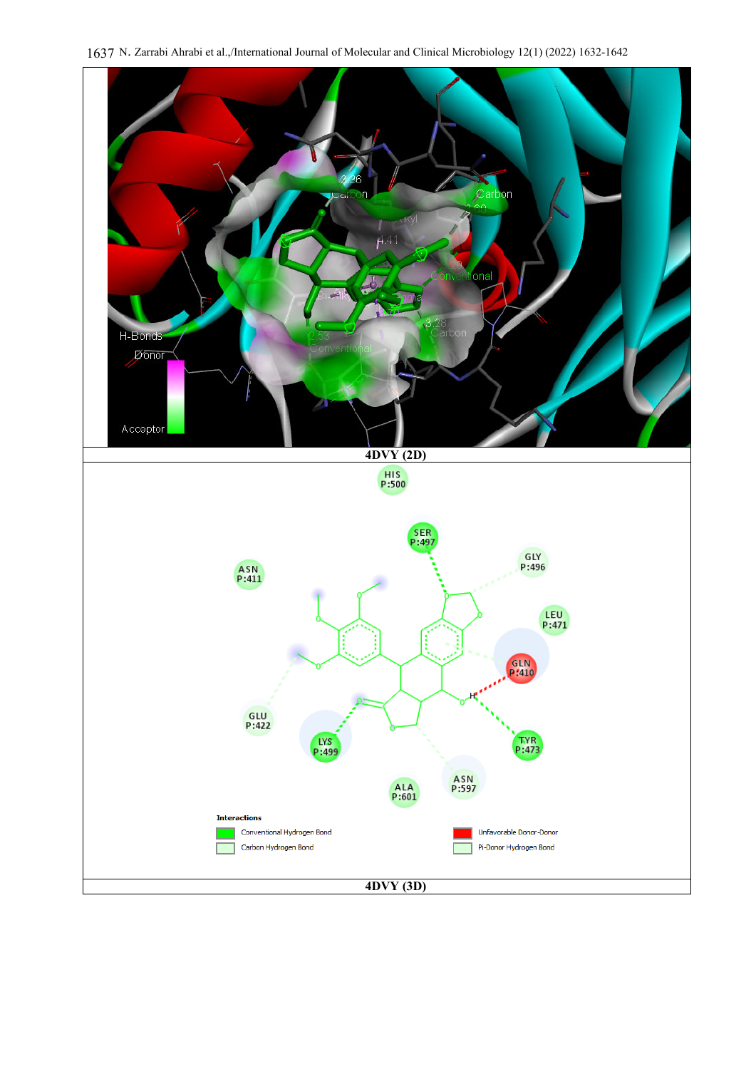

1637 N. Zarrabi Ahrabi et al.,/International Journal of Molecular and Clinical Microbiology 12(1) (2022) 1632-1642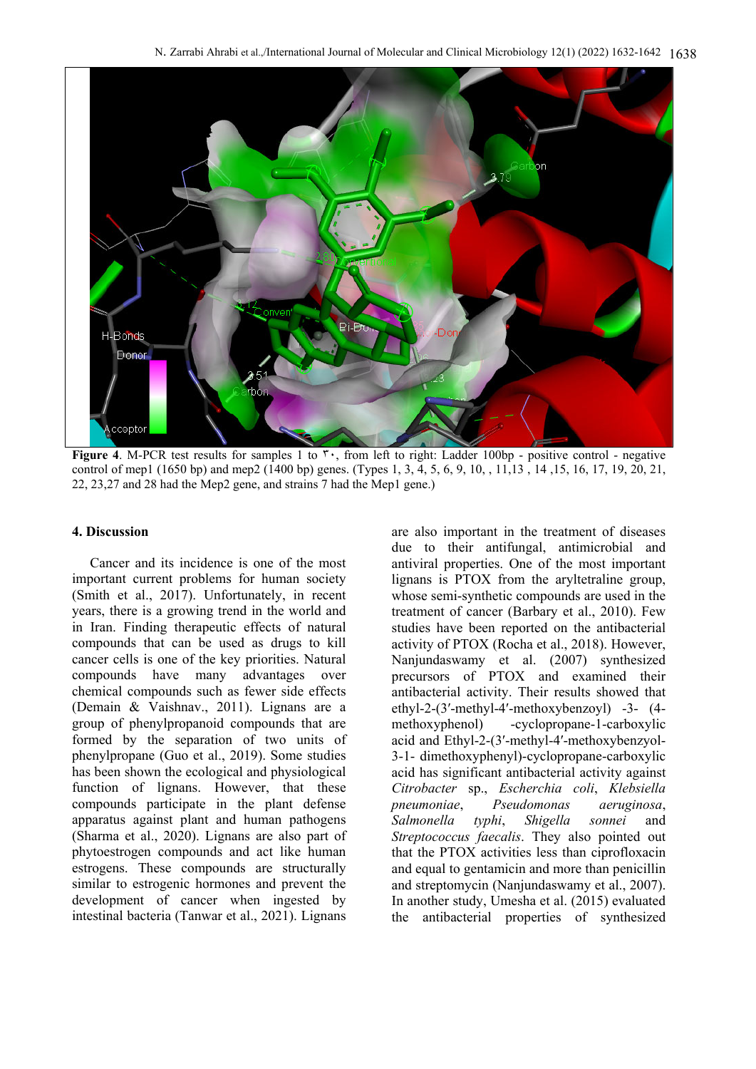

**Figure 4.** M-PCR test results for samples 1 to <sup>r</sup>, from left to right: Ladder 100bp - positive control - negative control of mep1 (1650 bp) and mep2 (1400 bp) genes. (Types 1, 3, 4, 5, 6, 9, 10, , 11,13 , 14 ,15, 16, 17, 19, 20, 21, 22, 23,27 and 28 had the Mep2 gene, and strains 7 had the Mep1 gene.)

#### **4. Discussion**

Cancer and its incidence is one of the most important current problems for human society (Smith et al., 2017). Unfortunately, in recent years, there is a growing trend in the world and in Iran. Finding therapeutic effects of natural compounds that can be used as drugs to kill cancer cells is one of the key priorities. Natural compounds have many advantages over chemical compounds such as fewer side effects (Demain & Vaishnav., 2011). Lignans are a group of phenylpropanoid compounds that are formed by the separation of two units of phenylpropane (Guo et al., 2019). Some studies has been shown the ecological and physiological function of lignans. However, that these compounds participate in the plant defense apparatus against plant and human pathogens (Sharma et al., 2020). Lignans are also part of phytoestrogen compounds and act like human estrogens. These compounds are structurally similar to estrogenic hormones and prevent the development of cancer when ingested by intestinal bacteria (Tanwar et al., 2021). Lignans

are also important in the treatment of diseases due to their antifungal, antimicrobial and antiviral properties. One of the most important lignans is PTOX from the aryltetraline group, whose semi-synthetic compounds are used in the treatment of cancer (Barbary et al., 2010). Few studies have been reported on the antibacterial activity of PTOX (Rocha et al., 2018). However, Nanjundaswamy et al. (2007) synthesized precursors of PTOX and examined their antibacterial activity. Their results showed that ethyl-2-(3′-methyl-4′-methoxybenzoyl) -3- (4 methoxyphenol) -cyclopropane-1-carboxylic acid and Ethyl-2-(3′-methyl-4′-methoxybenzyol-3-1- dimethoxyphenyl)-cyclopropane-carboxylic acid has significant antibacterial activity against *Citrobacter* sp., *Escherchia coli*, *Klebsiella pneumoniae*, *Pseudomonas aeruginosa*, *Salmonella typhi*, *Shigella sonnei* and *Streptococcus faecalis*. They also pointed out that the PTOX activities less than ciprofloxacin and equal to gentamicin and more than penicillin and streptomycin (Nanjundaswamy et al., 2007). In another study, Umesha et al. (2015) evaluated the antibacterial properties of synthesized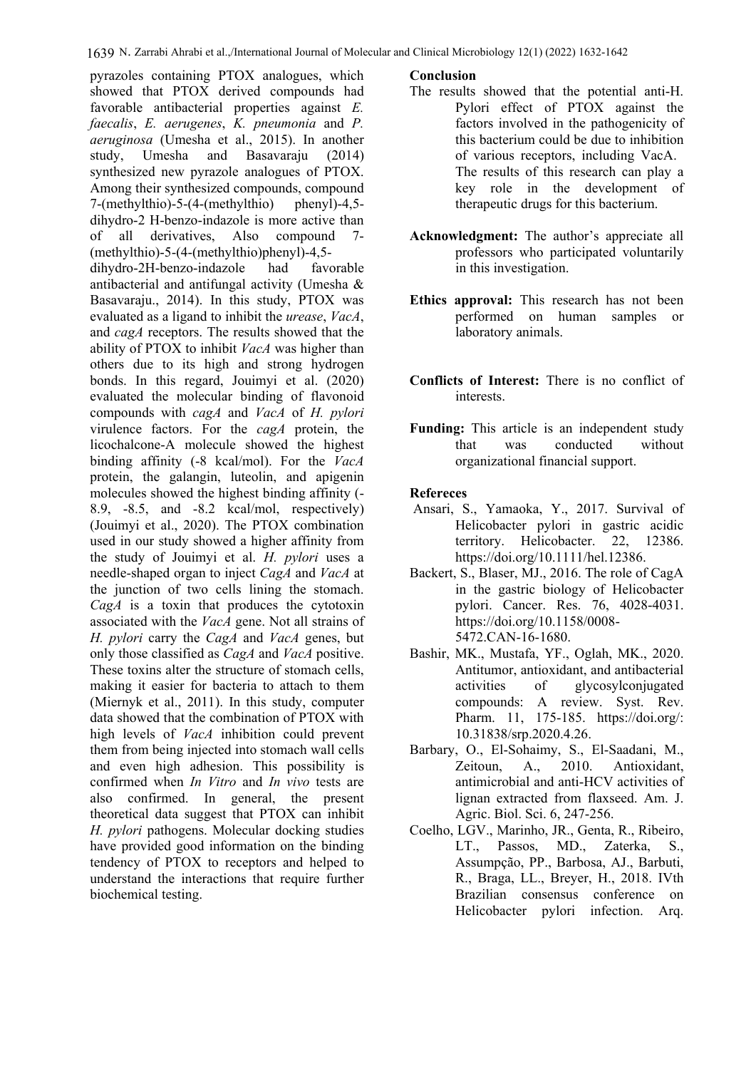pyrazoles containing PTOX analogues, which showed that PTOX derived compounds had favorable antibacterial properties against *E. faecalis*, *E. aerugenes*, *K. pneumonia* and *P. aeruginosa* (Umesha et al., 2015). In another study, Umesha and Basavaraju (2014) synthesized new pyrazole analogues of PTOX. Among their synthesized compounds, compound<br>7-(methylthio)-5-(4-(methylthio) phenyl)-4.5- $7-(\text{methylthio})-5-(4-(\text{methylthio})$ dihydro-2 H-benzo-indazole is more active than of all derivatives, Also compound 7- (methylthio)-5-(4-(methylthio)phenyl)-4,5 dihydro-2H-benzo-indazole had favorable antibacterial and antifungal activity (Umesha & Basavaraju., 2014). In this study, PTOX was evaluated as a ligand to inhibit the *urease*, *VacA*, and *cagA* receptors. The results showed that the ability of PTOX to inhibit *VacA* was higher than others due to its high and strong hydrogen bonds. In this regard, Jouimyi et al. (2020) evaluated the molecular binding of flavonoid compounds with *cagA* and *VacA* of *H. pylori* virulence factors. For the *cagA* protein, the licochalcone-A molecule showed the highest binding affinity (-8 kcal/mol). For the *VacA* protein, the galangin, luteolin, and apigenin molecules showed the highest binding affinity (- 8.9, -8.5, and -8.2 kcal/mol, respectively) (Jouimyi et al., 2020). The PTOX combination used in our study showed a higher affinity from the study of Jouimyi et al. *H. pylori* uses a needle-shaped organ to inject *CagA* and *VacA* at the junction of two cells lining the stomach. *CagA* is a toxin that produces the cytotoxin associated with the *VacA* gene. Not all strains of *H. pylori* carry the *CagA* and *VacA* genes, but only those classified as *CagA* and *VacA* positive. These toxins alter the structure of stomach cells, making it easier for bacteria to attach to them (Miernyk et al., 2011). In this study, computer data showed that the combination of PTOX with high levels of *VacA* inhibition could prevent them from being injected into stomach wall cells and even high adhesion. This possibility is confirmed when *In Vitro* and *In vivo* tests are also confirmed. In general, the present theoretical data suggest that PTOX can inhibit *H. pylori* pathogens. Molecular docking studies have provided good information on the binding tendency of PTOX to receptors and helped to understand the interactions that require further biochemical testing.

### **Conclusion**

- The results showed that the potential anti-H. Pylori effect of PTOX against the factors involved in the pathogenicity of this bacterium could be due to inhibition of various receptors, including VacA. The results of this research can play a key role in the development of therapeutic drugs for this bacterium.
- **Acknowledgment:** The author's appreciate all professors who participated voluntarily in this investigation.
- **Ethics approval:** This research has not been performed on human samples or laboratory animals.
- **Conflicts of Interest:** There is no conflict of interests.
- **Funding:** This article is an independent study that was conducted without organizational financial support.

# **Refereces**

- Ansari, S., Yamaoka, Y., 2017. Survival of Helicobacter pylori in gastric acidic territory. Helicobacter. 22, 12386. https://doi.org/10.1111/hel.12386.
- Backert, S., Blaser, MJ., 2016. The role of CagA in the gastric biology of Helicobacter pylori. Cancer. Res. 76, 4028-4031. https://doi.org/10.1158/0008- 5472.CAN-16-1680.
- Bashir, MK., Mustafa, YF., Oglah, MK., 2020. Antitumor, antioxidant, and antibacterial activities of glycosylconjugated compounds: A review. Syst. Rev. Pharm. 11, 175-185. https://doi.org/: 10.31838/srp.2020.4.26.
- Barbary, O., El-Sohaimy, S., El-Saadani, M., Zeitoun, A., 2010. Antioxidant, antimicrobial and anti-HCV activities of lignan extracted from flaxseed. Am. J. Agric. Biol. Sci. 6, 247-256.
- Coelho, LGV., Marinho, JR., Genta, R., Ribeiro, LT., Passos, MD., Zaterka, S., Assumpção, PP., Barbosa, AJ., Barbuti, R., Braga, LL., Breyer, H., 2018. IVth Brazilian consensus conference on Helicobacter pylori infection. Arq.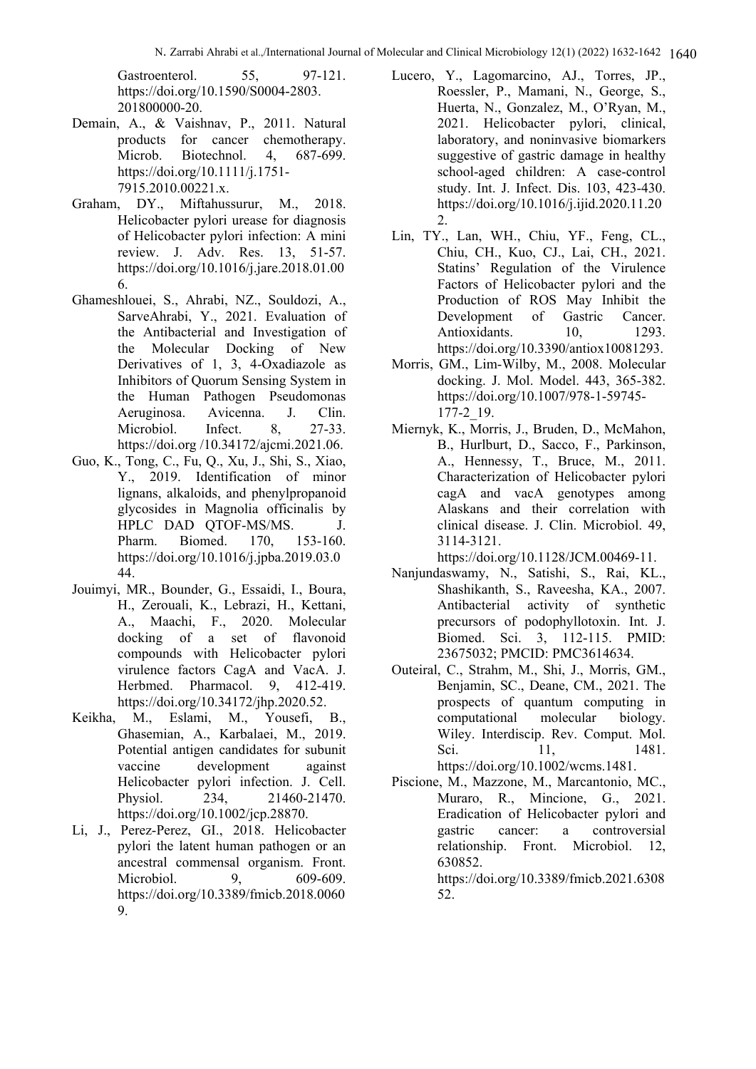Gastroenterol. 55, 97-121. https://doi.org/10.1590/S0004-2803. 201800000-20.

- Demain, A., & Vaishnav, P., 2011. Natural products for cancer chemotherapy. Microb. Biotechnol. 4, 687-699. https://doi.org/10.1111/j.1751- 7915.2010.00221.x.
- Graham, DY., Miftahussurur, M., 2018. Helicobacter pylori urease for diagnosis of Helicobacter pylori infection: A mini review. J. Adv. Res. 13, 51-57. https://doi.org/10.1016/j.jare.2018.01.00 6.
- Ghameshlouei, S., Ahrabi, NZ., Souldozi, A., SarveAhrabi, Y., 2021. Evaluation of the Antibacterial and Investigation of the Molecular Docking of New Derivatives of 1, 3, 4-Oxadiazole as Inhibitors of Quorum Sensing System in the Human Pathogen Pseudomonas Aeruginosa. Avicenna. J. Clin. Microbiol. Infect. 8, 27-33. https://doi.org /10.34172/ajcmi.2021.06.
- Guo, K., Tong, C., Fu, Q., Xu, J., Shi, S., Xiao, Y., 2019. Identification of minor lignans, alkaloids, and phenylpropanoid glycosides in Magnolia officinalis by HPLC DAD QTOF-MS/MS. J. Pharm. Biomed. 170, 153-160. https://doi.org/10.1016/j.jpba.2019.03.0 44.
- Jouimyi, MR., Bounder, G., Essaidi, I., Boura, H., Zerouali, K., Lebrazi, H., Kettani, A., Maachi, F., 2020. Molecular docking of a set of flavonoid compounds with Helicobacter pylori virulence factors CagA and VacA. J. Herbmed. Pharmacol. 9, 412-419. https://doi.org/10.34172/jhp.2020.52.
- Keikha, M., Eslami, M., Yousefi, B., Ghasemian, A., Karbalaei, M., 2019. Potential antigen candidates for subunit vaccine development against Helicobacter pylori infection. J. Cell. Physiol. 234, 21460-21470. https://doi.org/10.1002/jcp.28870.
- Li, J., Perez-Perez, GI., 2018. Helicobacter pylori the latent human pathogen or an ancestral commensal organism. Front. Microbiol. 9, 609-609. https://doi.org/10.3389/fmicb.2018.0060 9.
- Lucero, Y., Lagomarcino, AJ., Torres, JP., Roessler, P., Mamani, N., George, S., Huerta, N., Gonzalez, M., O'Ryan, M., 2021. Helicobacter pylori, clinical, laboratory, and noninvasive biomarkers suggestive of gastric damage in healthy school-aged children: A case-control study. Int. J. Infect. Dis. 103, 423-430. https://doi.org/10.1016/j.ijid.2020.11.20 2.
- Lin, TY., Lan, WH., Chiu, YF., Feng, CL., Chiu, CH., Kuo, CJ., Lai, CH., 2021. Statins' Regulation of the Virulence Factors of Helicobacter pylori and the Production of ROS May Inhibit the Development of Gastric Cancer. Antioxidants. 10, 1293. https://doi.org/10.3390/antiox10081293.
- Morris, GM., Lim-Wilby, M., 2008. Molecular docking. J. Mol. Model. 443, 365-382. https://doi.org/10.1007/978-1-59745-  $177-2$  19.
- Miernyk, K., Morris, J., Bruden, D., McMahon, B., Hurlburt, D., Sacco, F., Parkinson, A., Hennessy, T., Bruce, M., 2011. Characterization of Helicobacter pylori cagA and vacA genotypes among Alaskans and their correlation with clinical disease. J. Clin. Microbiol. 49, 3114-3121.
	- https://doi.org/10.1128/JCM.00469-11.
- Nanjundaswamy, N., Satishi, S., Rai, KL., Shashikanth, S., Raveesha, KA., 2007. Antibacterial activity of synthetic precursors of podophyllotoxin. Int. J. Biomed. Sci. 3, 112-115. PMID: 23675032; PMCID: PMC3614634.
- Outeiral, C., Strahm, M., Shi, J., Morris, GM., Benjamin, SC., Deane, CM., 2021. The prospects of quantum computing in computational molecular biology. Wiley. Interdiscip. Rev. Comput. Mol. Sci. 11, 1481. https://doi.org/10.1002/wcms.1481.
- Piscione, M., Mazzone, M., Marcantonio, MC., Muraro, R., Mincione, G., 2021. Eradication of Helicobacter pylori and gastric cancer: a controversial relationship. Front. Microbiol. 12, 630852. https://doi.org/10.3389/fmicb.2021.6308
	- 52.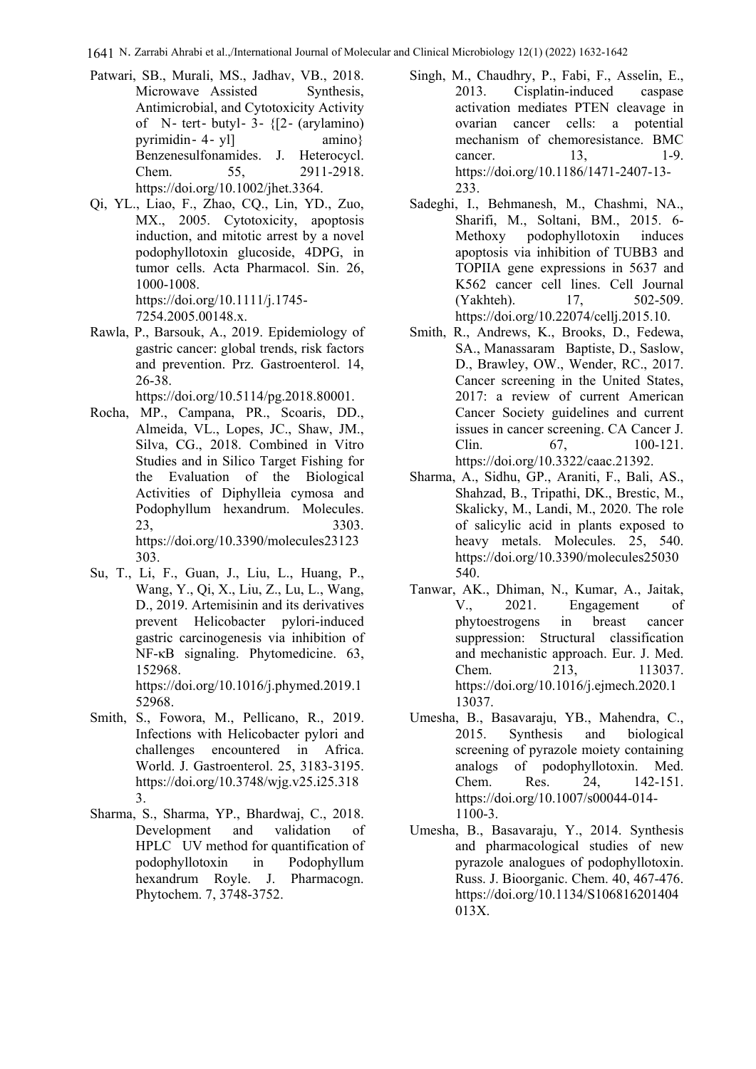1641 N. Zarrabi Ahrabi et al.,/International Journal of Molecular and Clinical Microbiology 12(1) (2022) 1632-1642

- Patwari, SB., Murali, MS., Jadhav, VB., 2018. Microwave Assisted Synthesis, Antimicrobial, and Cytotoxicity Activity of  $N$ - tert- butyl- 3-  ${Z-}$  (arylamino) pyrimidin -  $4 - y$ l] amino} Benzenesulfonamides. J. Heterocycl. Chem. 55, 2911-2918. https://doi.org/10.1002/jhet.3364.
- Qi, YL., Liao, F., Zhao, CQ., Lin, YD., Zuo, MX., 2005. Cytotoxicity, apoptosis induction, and mitotic arrest by a novel podophyllotoxin glucoside, 4DPG, in tumor cells. Acta Pharmacol. Sin. 26, 1000-1008. https://doi.org/10.1111/j.1745- 7254.2005.00148.x.
- Rawla, P., Barsouk, A., 2019. Epidemiology of gastric cancer: global trends, risk factors and prevention. Prz. Gastroenterol. 14, 26-38.

https://doi.org/10.5114/pg.2018.80001.

- Rocha, MP., Campana, PR., Scoaris, DD., Almeida, VL., Lopes, JC., Shaw, JM., Silva, CG., 2018. Combined in Vitro Studies and in Silico Target Fishing for the Evaluation of the Biological Activities of Diphylleia cymosa and Podophyllum hexandrum. Molecules. 23, 3303. https://doi.org/10.3390/molecules23123 303.
- Su, T., Li, F., Guan, J., Liu, L., Huang, P., Wang, Y., Qi, X., Liu, Z., Lu, L., Wang, D., 2019. Artemisinin and its derivatives prevent Helicobacter pylori-induced gastric carcinogenesis via inhibition of NF-κB signaling. Phytomedicine. 63, 152968. https://doi.org/10.1016/j.phymed.2019.1 52968.
- Smith, S., Fowora, M., Pellicano, R., 2019. Infections with Helicobacter pylori and challenges encountered in Africa. World. J. Gastroenterol. 25, 3183-3195. https://doi.org/10.3748/wjg.v25.i25.318 3.
- Sharma, S., Sharma, YP., Bhardwaj, C., 2018. Development and validation of HPLC UV method for quantification of podophyllotoxin in Podophyllum hexandrum Royle. J. Pharmacogn. Phytochem. 7, 3748-3752.
- Singh, M., Chaudhry, P., Fabi, F., Asselin, E., 2013. Cisplatin-induced caspase activation mediates PTEN cleavage in ovarian cancer cells: a potential mechanism of chemoresistance. BMC cancer. 13, 1-9. https://doi.org/10.1186/1471-2407-13- 233.
- Sadeghi, I., Behmanesh, M., Chashmi, NA., Sharifi, M., Soltani, BM., 2015. 6- Methoxy podophyllotoxin induces apoptosis via inhibition of TUBB3 and TOPIIA gene expressions in 5637 and K562 cancer cell lines. Cell Journal (Yakhteh). 17, 502-509. https://doi.org/10.22074/cellj.2015.10.
- Smith, R., Andrews, K., Brooks, D., Fedewa, SA., Manassaram Baptiste, D., Saslow, D., Brawley, OW., Wender, RC., 2017. Cancer screening in the United States, 2017: a review of current American Cancer Society guidelines and current issues in cancer screening. CA Cancer J. Clin. 67, 100-121. https://doi.org/10.3322/caac.21392.
- Sharma, A., Sidhu, GP., Araniti, F., Bali, AS., Shahzad, B., Tripathi, DK., Brestic, M., Skalicky, M., Landi, M., 2020. The role of salicylic acid in plants exposed to heavy metals. Molecules. 25, 540. https://doi.org/10.3390/molecules25030 540.
- Tanwar, AK., Dhiman, N., Kumar, A., Jaitak, V., 2021. Engagement of phytoestrogens in breast cancer suppression: Structural classification and mechanistic approach. Eur. J. Med. Chem. 213, 113037. https://doi.org/10.1016/j.ejmech.2020.1 13037.
- Umesha, B., Basavaraju, YB., Mahendra, C., 2015. Synthesis and biological screening of pyrazole moiety containing analogs of podophyllotoxin. Med. Chem. Res. 24, 142-151. https://doi.org/10.1007/s00044-014- 1100-3.
- Umesha, B., Basavaraju, Y., 2014. Synthesis and pharmacological studies of new pyrazole analogues of podophyllotoxin. Russ. J. Bioorganic. Chem. 40, 467-476. https://doi.org/10.1134/S106816201404 013X.